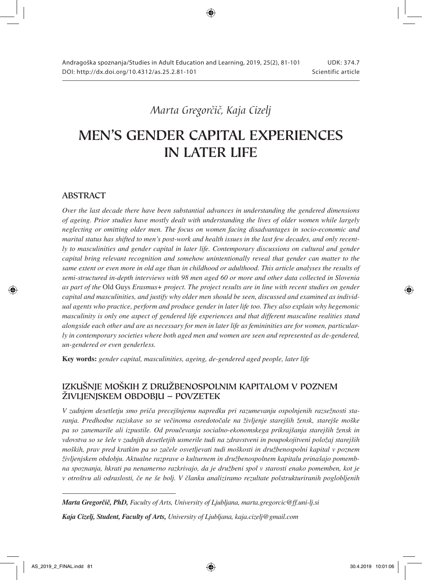# *Marta Gregorčič, Kaja Cizelj*

# MEN'S GENDER CAPITAL EXPERIENCES IN LATER LIFE

### ABSTRACT

*Over the last decade there have been substantial advances in understanding the gendered dimensions of ageing. Prior studies have mostly dealt with understanding the lives of older women while largely neglecting or omitting older men. The focus on women facing disadvantages in socio-economic and marital status has shifted to men's post-work and health issues in the last few decades, and only recently to masculinities and gender capital in later life. Contemporary discussions on cultural and gender capital bring relevant recognition and somehow unintentionally reveal that gender can matter to the same extent or even more in old age than in childhood or adulthood. This article analyses the results of semi-structured in-depth interviews with 98 men aged 60 or more and other data collected in Slovenia as part of the* Old Guys *Erasmus+ project. The project results are in line with recent studies on gender capital and masculinities, and justify why older men should be seen, discussed and examined as individual agents who practice, perform and produce gender in later life too. They also explain why hegemonic masculinity is only one aspect of gendered life experiences and that different masculine realities stand alongside each other and are as necessary for men in later life as femininities are for women, particularly in contemporary societies where both aged men and women are seen and represented as de-gendered, un-gendered or even genderless.*

Key words: *gender capital, masculinities, ageing, de-gendered aged people, later life*

# IZKUŠNJE MOŠKIH Z DRUŽBENOSPOLNIM KAPITALOM V POZNEM ŽIVLJENJSKEM OBDOBJU – POVZETEK

*V zadnjem desetletju smo priča precejšnjemu napredku pri razumevanju ospolnjenih razsežnosti staranja. Predhodne raziskave so se večinoma osredotočale na življenje starejših žensk, starejše moške pa so zanemarile ali izpustile. Od proučevanja socialno-ekonomskega prikrajšanja starejših žensk in vdovstva so se šele v zadnjih desetletjih usmerile tudi na zdravstveni in poupokojitveni položaj starejših moških, prav pred kratkim pa so začele osvetljevati tudi moškosti in družbenospolni kapital v poznem življenjskem obdobju. Aktualne razprave o kulturnem in družbenospolnem kapitalu prinašajo pomembna spoznanja, hkrati pa nenamerno razkrivajo, da je družbeni spol v starosti enako pomemben, kot je v otroštvu ali odraslosti, če ne še bolj. V članku analiziramo rezultate polstrukturiranih poglobljenih* 

*Kaja Cizelj, Student, Faculty of Arts, University of Ljubljana, kaja.cizelj@gmail.com*

*Marta Gregorčič, PhD, Faculty of Arts, University of Ljubljana, marta.gregorcic@ff.uni-lj.si*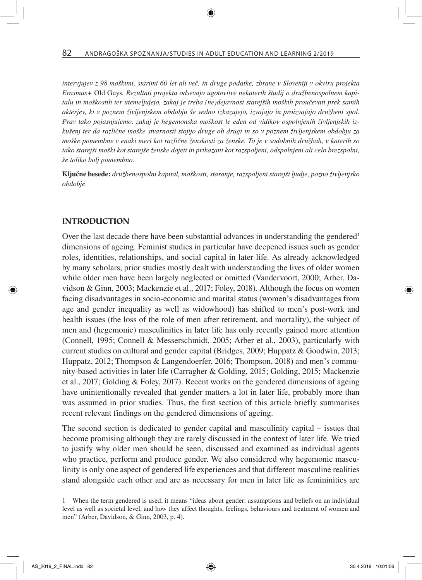*intervjujev z 98 moškimi, starimi 60 let ali več, in druge podatke, zbrane v Sloveniji v okviru projekta Erasmus+* Old Guys*. Rezultati projekta odsevajo ugotovitve nekaterih študij o družbenospolnem kapitalu in moškostih ter utemeljujejo, zakaj je treba (ne)dejavnost starejših moških proučevati prek samih akterjev, ki v poznem življenjskem obdobju še vedno izkazujejo, izvajajo in proizvajajo družbeni spol. Prav tako pojasnjujemo, zakaj je hegemonska moškost le eden od vidikov ospolnjenih življenjskih izkušenj ter da različne moške stvarnosti stojijo druge ob drugi in so v poznem življenjskem obdobju za moške pomembne v enaki meri kot različne ženskosti za ženske. To je v sodobnih družbah, v katerih so tako starejši moški kot starejše ženske dojeti in prikazani kot razspoljeni, odspolnjeni ali celo brezspolni, še toliko bolj pomembno.*

Ključne besede: *družbenospolni kapital, moškosti, staranje, razspoljeni starejši ljudje, pozno življenjsko obdobje*

#### INTRODUCTION

Over the last decade there have been substantial advances in understanding the gendered<sup>1</sup> dimensions of ageing. Feminist studies in particular have deepened issues such as gender roles, identities, relationships, and social capital in later life. As already acknowledged by many scholars, prior studies mostly dealt with understanding the lives of older women while older men have been largely neglected or omitted (Vandervoort, 2000; Arber, Davidson & Ginn, 2003; Mackenzie et al., 2017; Foley, 2018). Although the focus on women facing disadvantages in socio-economic and marital status (women's disadvantages from age and gender inequality as well as widowhood) has shifted to men's post-work and health issues (the loss of the role of men after retirement, and mortality), the subject of men and (hegemonic) masculinities in later life has only recently gained more attention (Connell, 1995; Connell & Messerschmidt, 2005; Arber et al., 2003), particularly with current studies on cultural and gender capital (Bridges, 2009; Huppatz & Goodwin, 2013; Huppatz, 2012; Thompson & Langendoerfer, 2016; Thompson, 2018) and men's community-based activities in later life (Carragher & Golding, 2015; Golding, 2015; Mackenzie et al., 2017; Golding & Foley, 2017). Recent works on the gendered dimensions of ageing have unintentionally revealed that gender matters a lot in later life, probably more than was assumed in prior studies. Thus, the first section of this article briefly summarises recent relevant findings on the gendered dimensions of ageing.

The second section is dedicated to gender capital and masculinity capital – issues that become promising although they are rarely discussed in the context of later life. We tried to justify why older men should be seen, discussed and examined as individual agents who practice, perform and produce gender. We also considered why hegemonic masculinity is only one aspect of gendered life experiences and that different masculine realities stand alongside each other and are as necessary for men in later life as femininities are

<sup>1</sup> When the term gendered is used, it means "ideas about gender: assumptions and beliefs on an individual level as well as societal level, and how they affect thoughts, feelings, behaviours and treatment of women and men" (Arber, Davidson, & Ginn, 2003, p. 4).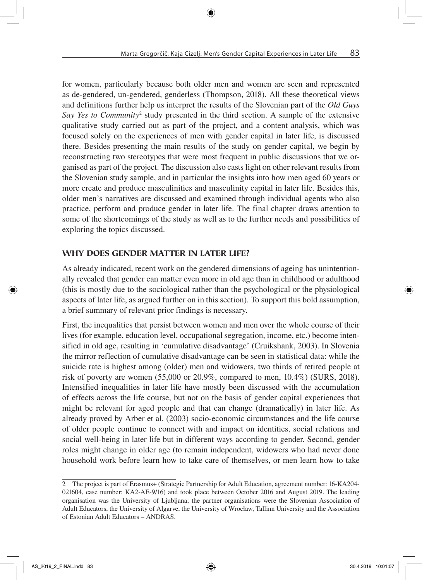for women, particularly because both older men and women are seen and represented as de-gendered, un-gendered, genderless (Thompson, 2018). All these theoretical views and definitions further help us interpret the results of the Slovenian part of the *Old Guys Say Yes to Community*<sup>2</sup> study presented in the third section. A sample of the extensive qualitative study carried out as part of the project, and a content analysis, which was focused solely on the experiences of men with gender capital in later life, is discussed there. Besides presenting the main results of the study on gender capital, we begin by reconstructing two stereotypes that were most frequent in public discussions that we organised as part of the project. The discussion also casts light on other relevant results from the Slovenian study sample, and in particular the insights into how men aged 60 years or more create and produce masculinities and masculinity capital in later life. Besides this, older men's narratives are discussed and examined through individual agents who also practice, perform and produce gender in later life. The final chapter draws attention to some of the shortcomings of the study as well as to the further needs and possibilities of exploring the topics discussed.

# WHY DOES GENDER MATTER IN LATER LIFE?

As already indicated, recent work on the gendered dimensions of ageing has unintentionally revealed that gender can matter even more in old age than in childhood or adulthood (this is mostly due to the sociological rather than the psychological or the physiological aspects of later life, as argued further on in this section). To support this bold assumption, a brief summary of relevant prior findings is necessary.

First, the inequalities that persist between women and men over the whole course of their lives (for example, education level, occupational segregation, income, etc.) become intensified in old age, resulting in 'cumulative disadvantage' (Cruikshank, 2003). In Slovenia the mirror reflection of cumulative disadvantage can be seen in statistical data: while the suicide rate is highest among (older) men and widowers, two thirds of retired people at risk of poverty are women (55,000 or 20.9%, compared to men, 10.4%) (SURS, 2018). Intensified inequalities in later life have mostly been discussed with the accumulation of effects across the life course, but not on the basis of gender capital experiences that might be relevant for aged people and that can change (dramatically) in later life. As already proved by Arber et al. (2003) socio-economic circumstances and the life course of older people continue to connect with and impact on identities, social relations and social well-being in later life but in different ways according to gender. Second, gender roles might change in older age (to remain independent, widowers who had never done household work before learn how to take care of themselves, or men learn how to take

<sup>2</sup> The project is part of Erasmus+ (Strategic Partnership for Adult Education, agreement number: 16-KA204- 021604, case number: KA2-AE-9/16) and took place between October 2016 and August 2019. The leading organisation was the University of Ljubljana; the partner organisations were the Slovenian Association of Adult Educators, the University of Algarve, the University of Wrocław, Tallinn University and the Association of Estonian Adult Educators – ANDRAS.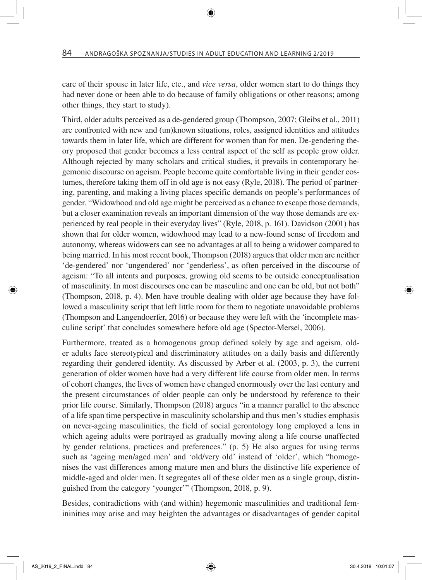care of their spouse in later life, etc., and *vice versa*, older women start to do things they had never done or been able to do because of family obligations or other reasons; among other things, they start to study).

Third, older adults perceived as a de-gendered group (Thompson, 2007; Gleibs et al., 2011) are confronted with new and (un)known situations, roles, assigned identities and attitudes towards them in later life, which are different for women than for men. De-gendering theory proposed that gender becomes a less central aspect of the self as people grow older. Although rejected by many scholars and critical studies, it prevails in contemporary hegemonic discourse on ageism. People become quite comfortable living in their gender costumes, therefore taking them off in old age is not easy (Ryle, 2018). The period of partnering, parenting, and making a living places specific demands on people's performances of gender. "Widowhood and old age might be perceived as a chance to escape those demands, but a closer examination reveals an important dimension of the way those demands are experienced by real people in their everyday lives" (Ryle, 2018, p. 161). Davidson (2001) has shown that for older women, widowhood may lead to a new-found sense of freedom and autonomy, whereas widowers can see no advantages at all to being a widower compared to being married. In his most recent book, Thompson (2018) argues that older men are neither 'de-gendered' nor 'ungendered' nor 'genderless', as often perceived in the discourse of ageism: "To all intents and purposes, growing old seems to be outside conceptualisation of masculinity. In most discourses one can be masculine and one can be old, but not both" (Thompson, 2018, p. 4). Men have trouble dealing with older age because they have followed a masculinity script that left little room for them to negotiate unavoidable problems (Thompson and Langendoerfer, 2016) or because they were left with the 'incomplete masculine script' that concludes somewhere before old age (Spector-Mersel, 2006).

Furthermore, treated as a homogenous group defined solely by age and ageism, older adults face stereotypical and discriminatory attitudes on a daily basis and differently regarding their gendered identity. As discussed by Arber et al. (2003, p. 3), the current generation of older women have had a very different life course from older men. In terms of cohort changes, the lives of women have changed enormously over the last century and the present circumstances of older people can only be understood by reference to their prior life course. Similarly, Thompson (2018) argues "in a manner parallel to the absence of a life span time perspective in masculinity scholarship and thus men's studies emphasis on never-ageing masculinities, the field of social gerontology long employed a lens in which ageing adults were portrayed as gradually moving along a life course unaffected by gender relations, practices and preferences." (p. 5) He also argues for using terms such as 'ageing men/aged men' and 'old/very old' instead of 'older', which "homogenises the vast differences among mature men and blurs the distinctive life experience of middle-aged and older men. It segregates all of these older men as a single group, distinguished from the category 'younger'" (Thompson, 2018, p. 9).

Besides, contradictions with (and within) hegemonic masculinities and traditional femininities may arise and may heighten the advantages or disadvantages of gender capital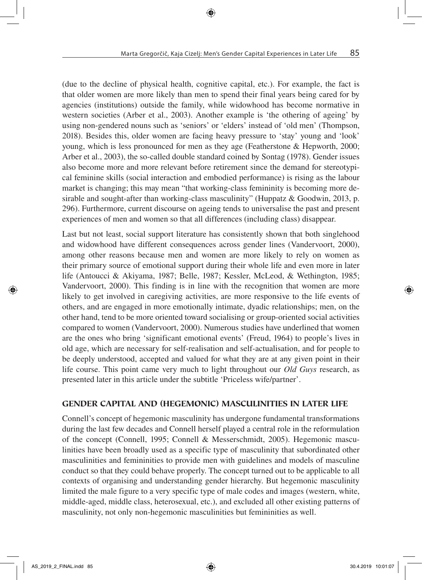(due to the decline of physical health, cognitive capital, etc.). For example, the fact is that older women are more likely than men to spend their final years being cared for by agencies (institutions) outside the family, while widowhood has become normative in western societies (Arber et al., 2003). Another example is 'the othering of ageing' by using non-gendered nouns such as 'seniors' or 'elders' instead of 'old men' (Thompson, 2018). Besides this, older women are facing heavy pressure to 'stay' young and 'look' young, which is less pronounced for men as they age (Featherstone & Hepworth, 2000; Arber et al., 2003), the so-called double standard coined by Sontag (1978). Gender issues also become more and more relevant before retirement since the demand for stereotypical feminine skills (social interaction and embodied performance) is rising as the labour market is changing; this may mean "that working-class femininity is becoming more desirable and sought-after than working-class masculinity" (Huppatz & Goodwin, 2013, p. 296). Furthermore, current discourse on ageing tends to universalise the past and present experiences of men and women so that all differences (including class) disappear.

Last but not least, social support literature has consistently shown that both singlehood and widowhood have different consequences across gender lines (Vandervoort, 2000), among other reasons because men and women are more likely to rely on women as their primary source of emotional support during their whole life and even more in later life (Antoucci & Akiyama, 1987; Belle, 1987; Kessler, McLeod, & Wethington, 1985; Vandervoort, 2000). This finding is in line with the recognition that women are more likely to get involved in caregiving activities, are more responsive to the life events of others, and are engaged in more emotionally intimate, dyadic relationships; men, on the other hand, tend to be more oriented toward socialising or group-oriented social activities compared to women (Vandervoort, 2000). Numerous studies have underlined that women are the ones who bring 'significant emotional events' (Freud, 1964) to people's lives in old age, which are necessary for self-realisation and self-actualisation, and for people to be deeply understood, accepted and valued for what they are at any given point in their life course. This point came very much to light throughout our *Old Guys* research, as presented later in this article under the subtitle 'Priceless wife/partner'.

### GENDER CAPITAL AND (HEGEMONIC) MASCULINITIES IN LATER LIFE

Connell's concept of hegemonic masculinity has undergone fundamental transformations during the last few decades and Connell herself played a central role in the reformulation of the concept (Connell, 1995; Connell & Messerschmidt, 2005). Hegemonic masculinities have been broadly used as a specific type of masculinity that subordinated other masculinities and femininities to provide men with guidelines and models of masculine conduct so that they could behave properly. The concept turned out to be applicable to all contexts of organising and understanding gender hierarchy. But hegemonic masculinity limited the male figure to a very specific type of male codes and images (western, white, middle-aged, middle class, heterosexual, etc.), and excluded all other existing patterns of masculinity, not only non-hegemonic masculinities but femininities as well.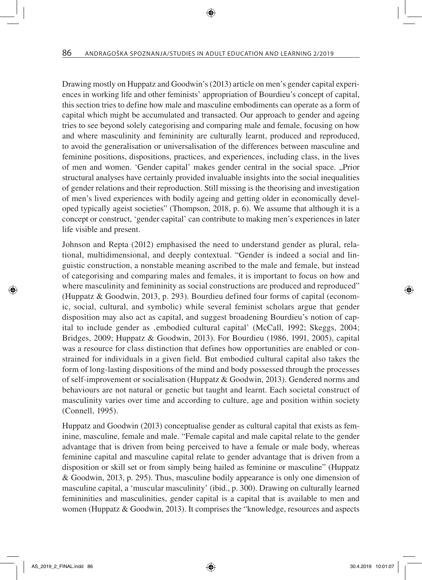Drawing mostly on Huppatz and Goodwin's (2013) article on men's gender capital experiences in working life and other feminists' appropriation of Bourdieu's concept of capital, this section tries to define how male and masculine embodiments can operate as a form of capital which might be accumulated and transacted. Our approach to gender and ageing tries to see beyond solely categorising and comparing male and female, focusing on how and where masculinity and femininity are culturally learnt, produced and reproduced, to avoid the generalisation or universalisation of the differences between masculine and feminine positions, dispositions, practices, and experiences, including class, in the lives of men and women. 'Gender capital' makes gender central in the social space. "Prior" structural analyses have certainly provided invaluable insights into the social inequalities of gender relations and their reproduction. Still missing is the theorising and investigation of men's lived experiences with bodily ageing and getting older in economically developed typically ageist societies" (Thompson, 2018, p. 6). We assume that although it is a concept or construct, 'gender capital' can contribute to making men's experiences in later life visible and present.

Johnson and Repta (2012) emphasised the need to understand gender as plural, relational, multidimensional, and deeply contextual. "Gender is indeed a social and linguistic construction, a nonstable meaning ascribed to the male and female, but instead of categorising and comparing males and females, it is important to focus on how and where masculinity and femininity as social constructions are produced and reproduced" (Huppatz & Goodwin, 2013, p. 293). Bourdieu defined four forms of capital (economic, social, cultural, and symbolic) while several feminist scholars argue that gender disposition may also act as capital, and suggest broadening Bourdieu's notion of capital to include gender as , embodied cultural capital' (McCall, 1992; Skeggs, 2004; Bridges, 2009; Huppatz & Goodwin, 2013). For Bourdieu (1986, 1991, 2005), capital was a resource for class distinction that defines how opportunities are enabled or constrained for individuals in a given field. But embodied cultural capital also takes the form of long-lasting dispositions of the mind and body possessed through the processes of self-improvement or socialisation (Huppatz & Goodwin, 2013). Gendered norms and behaviours are not natural or genetic but taught and learnt. Each societal construct of masculinity varies over time and according to culture, age and position within society (Connell, 1995).

Huppatz and Goodwin (2013) conceptualise gender as cultural capital that exists as feminine, masculine, female and male. "Female capital and male capital relate to the gender advantage that is driven from being perceived to have a female or male body, whereas feminine capital and masculine capital relate to gender advantage that is driven from a disposition or skill set or from simply being hailed as feminine or masculine" (Huppatz & Goodwin, 2013, p. 295). Thus, masculine bodily appearance is only one dimension of masculine capital, a 'muscular masculinity' (ibid., p. 300). Drawing on culturally learned femininities and masculinities, gender capital is a capital that is available to men and women (Huppatz & Goodwin, 2013). It comprises the "knowledge, resources and aspects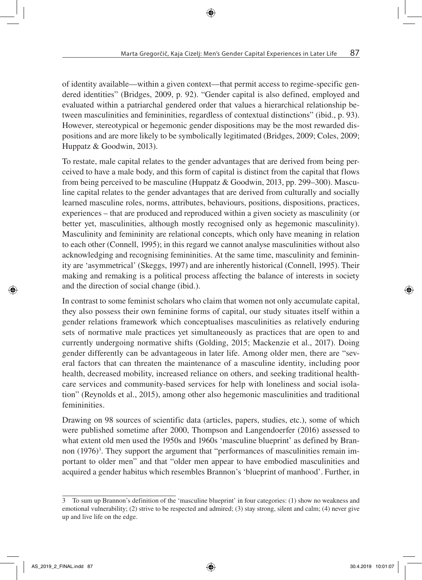of identity available—within a given context—that permit access to regime-specific gendered identities" (Bridges, 2009, p. 92). "Gender capital is also defined, employed and evaluated within a patriarchal gendered order that values a hierarchical relationship between masculinities and femininities, regardless of contextual distinctions" (ibid., p. 93). However, stereotypical or hegemonic gender dispositions may be the most rewarded dispositions and are more likely to be symbolically legitimated (Bridges, 2009; Coles, 2009; Huppatz & Goodwin, 2013).

To restate, male capital relates to the gender advantages that are derived from being perceived to have a male body, and this form of capital is distinct from the capital that flows from being perceived to be masculine (Huppatz & Goodwin, 2013, pp. 299–300). Masculine capital relates to the gender advantages that are derived from culturally and socially learned masculine roles, norms, attributes, behaviours, positions, dispositions, practices, experiences – that are produced and reproduced within a given society as masculinity (or better yet, masculinities, although mostly recognised only as hegemonic masculinity). Masculinity and femininity are relational concepts, which only have meaning in relation to each other (Connell, 1995); in this regard we cannot analyse masculinities without also acknowledging and recognising femininities. At the same time, masculinity and femininity are 'asymmetrical' (Skeggs, 1997) and are inherently historical (Connell, 1995). Their making and remaking is a political process affecting the balance of interests in society and the direction of social change (ibid.).

In contrast to some feminist scholars who claim that women not only accumulate capital, they also possess their own feminine forms of capital, our study situates itself within a gender relations framework which conceptualises masculinities as relatively enduring sets of normative male practices yet simultaneously as practices that are open to and currently undergoing normative shifts (Golding, 2015; Mackenzie et al., 2017). Doing gender differently can be advantageous in later life. Among older men, there are "several factors that can threaten the maintenance of a masculine identity, including poor health, decreased mobility, increased reliance on others, and seeking traditional healthcare services and community-based services for help with loneliness and social isolation" (Reynolds et al., 2015), among other also hegemonic masculinities and traditional femininities.

Drawing on 98 sources of scientific data (articles, papers, studies, etc.), some of which were published sometime after 2000, Thompson and Langendoerfer (2016) assessed to what extent old men used the 1950s and 1960s 'masculine blueprint' as defined by Brannon (1976)<sup>3</sup>. They support the argument that "performances of masculinities remain important to older men" and that "older men appear to have embodied masculinities and acquired a gender habitus which resembles Brannon's 'blueprint of manhood'. Further, in

<sup>3</sup> To sum up Brannon's definition of the 'masculine blueprint' in four categories: (1) show no weakness and emotional vulnerability; (2) strive to be respected and admired; (3) stay strong, silent and calm; (4) never give up and live life on the edge.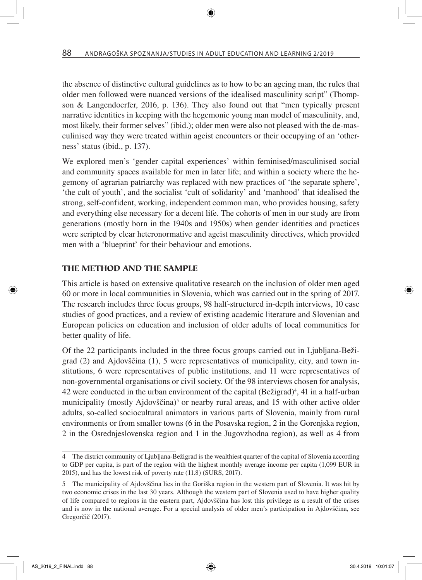the absence of distinctive cultural guidelines as to how to be an ageing man, the rules that older men followed were nuanced versions of the idealised masculinity script" (Thompson & Langendoerfer, 2016, p. 136). They also found out that "men typically present narrative identities in keeping with the hegemonic young man model of masculinity, and, most likely, their former selves" (ibid.); older men were also not pleased with the de-masculinised way they were treated within ageist encounters or their occupying of an 'otherness' status (ibid., p. 137).

We explored men's 'gender capital experiences' within feminised/masculinised social and community spaces available for men in later life; and within a society where the hegemony of agrarian patriarchy was replaced with new practices of 'the separate sphere', 'the cult of youth', and the socialist 'cult of solidarity' and 'manhood' that idealised the strong, self-confident, working, independent common man, who provides housing, safety and everything else necessary for a decent life. The cohorts of men in our study are from generations (mostly born in the 1940s and 1950s) when gender identities and practices were scripted by clear heteronormative and ageist masculinity directives, which provided men with a 'blueprint' for their behaviour and emotions.

#### THE METHOD AND THE SAMPLE

This article is based on extensive qualitative research on the inclusion of older men aged 60 or more in local communities in Slovenia, which was carried out in the spring of 2017. The research includes three focus groups, 98 half-structured in-depth interviews, 10 case studies of good practices, and a review of existing academic literature and Slovenian and European policies on education and inclusion of older adults of local communities for better quality of life.

Of the 22 participants included in the three focus groups carried out in Ljubljana-Bežigrad (2) and Ajdovščina (1), 5 were representatives of municipality, city, and town institutions, 6 were representatives of public institutions, and 11 were representatives of non-governmental organisations or civil society. Of the 98 interviews chosen for analysis, 42 were conducted in the urban environment of the capital  $(Be\check{z}igrad)^4$ , 41 in a half-urban municipality (mostly Ajdovščina)<sup>5</sup> or nearby rural areas, and 15 with other active older adults, so-called sociocultural animators in various parts of Slovenia, mainly from rural environments or from smaller towns (6 in the Posavska region, 2 in the Gorenjska region, 2 in the Osrednjeslovenska region and 1 in the Jugovzhodna region), as well as 4 from

<sup>4</sup> The district community of Ljubljana-Bežigrad is the wealthiest quarter of the capital of Slovenia according to GDP per capita, is part of the region with the highest monthly average income per capita (1,099 EUR in 2015), and has the lowest risk of poverty rate (11.8) (SURS, 2017).

<sup>5</sup> The municipality of Ajdovščina lies in the Goriška region in the western part of Slovenia. It was hit by two economic crises in the last 30 years. Although the western part of Slovenia used to have higher quality of life compared to regions in the eastern part, Ajdovščina has lost this privilege as a result of the crises and is now in the national average. For a special analysis of older men's participation in Ajdovščina, see Gregorčič (2017).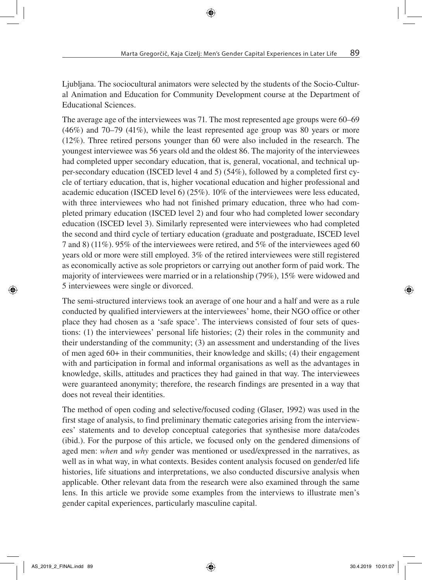Ljubljana. The sociocultural animators were selected by the students of the Socio-Cultural Animation and Education for Community Development course at the Department of Educational Sciences.

The average age of the interviewees was 71. The most represented age groups were 60–69 (46%) and 70–79 (41%), while the least represented age group was 80 years or more (12%). Three retired persons younger than 60 were also included in the research. The youngest interviewee was 56 years old and the oldest 86. The majority of the interviewees had completed upper secondary education, that is, general, vocational, and technical upper-secondary education (ISCED level 4 and 5) (54%), followed by a completed first cycle of tertiary education, that is, higher vocational education and higher professional and academic education (ISCED level 6) (25%). 10% of the interviewees were less educated, with three interviewees who had not finished primary education, three who had completed primary education (ISCED level 2) and four who had completed lower secondary education (ISCED level 3). Similarly represented were interviewees who had completed the second and third cycle of tertiary education (graduate and postgraduate, ISCED level 7 and 8) (11%). 95% of the interviewees were retired, and 5% of the interviewees aged 60 years old or more were still employed. 3% of the retired interviewees were still registered as economically active as sole proprietors or carrying out another form of paid work. The majority of interviewees were married or in a relationship (79%), 15% were widowed and 5 interviewees were single or divorced.

The semi-structured interviews took an average of one hour and a half and were as a rule conducted by qualified interviewers at the interviewees' home, their NGO office or other place they had chosen as a 'safe space'. The interviews consisted of four sets of questions: (1) the interviewees' personal life histories; (2) their roles in the community and their understanding of the community; (3) an assessment and understanding of the lives of men aged 60+ in their communities, their knowledge and skills; (4) their engagement with and participation in formal and informal organisations as well as the advantages in knowledge, skills, attitudes and practices they had gained in that way. The interviewees were guaranteed anonymity; therefore, the research findings are presented in a way that does not reveal their identities.

The method of open coding and selective/focused coding (Glaser, 1992) was used in the first stage of analysis, to find preliminary thematic categories arising from the interviewees' statements and to develop conceptual categories that synthesise more data/codes (ibid.). For the purpose of this article, we focused only on the gendered dimensions of aged men: *when* and *why* gender was mentioned or used/expressed in the narratives, as well as in what way, in what contexts. Besides content analysis focused on gender/ed life histories, life situations and interpretations, we also conducted discursive analysis when applicable. Other relevant data from the research were also examined through the same lens. In this article we provide some examples from the interviews to illustrate men's gender capital experiences, particularly masculine capital.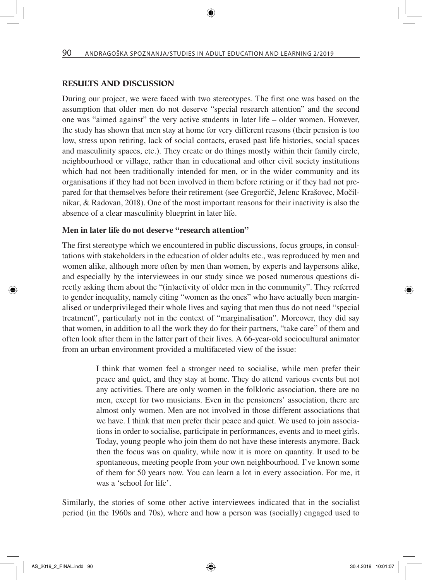#### RESULTS AND DISCUSSION

During our project, we were faced with two stereotypes. The first one was based on the assumption that older men do not deserve "special research attention" and the second one was "aimed against" the very active students in later life – older women. However, the study has shown that men stay at home for very different reasons (their pension is too low, stress upon retiring, lack of social contacts, erased past life histories, social spaces and masculinity spaces, etc.). They create or do things mostly within their family circle, neighbourhood or village, rather than in educational and other civil society institutions which had not been traditionally intended for men, or in the wider community and its organisations if they had not been involved in them before retiring or if they had not prepared for that themselves before their retirement (see Gregorčič, Jelenc Krašovec, Močilnikar, & Radovan, 2018). One of the most important reasons for their inactivity is also the absence of a clear masculinity blueprint in later life.

#### Men in later life do not deserve "research attention"

The first stereotype which we encountered in public discussions, focus groups, in consultations with stakeholders in the education of older adults etc., was reproduced by men and women alike, although more often by men than women, by experts and laypersons alike, and especially by the interviewees in our study since we posed numerous questions directly asking them about the "(in)activity of older men in the community". They referred to gender inequality, namely citing "women as the ones" who have actually been marginalised or underprivileged their whole lives and saying that men thus do not need "special treatment", particularly not in the context of "marginalisation". Moreover, they did say that women, in addition to all the work they do for their partners, "take care" of them and often look after them in the latter part of their lives. A 66-year-old sociocultural animator from an urban environment provided a multifaceted view of the issue:

> I think that women feel a stronger need to socialise, while men prefer their peace and quiet, and they stay at home. They do attend various events but not any activities. There are only women in the folkloric association, there are no men, except for two musicians. Even in the pensioners' association, there are almost only women. Men are not involved in those different associations that we have. I think that men prefer their peace and quiet. We used to join associations in order to socialise, participate in performances, events and to meet girls. Today, young people who join them do not have these interests anymore. Back then the focus was on quality, while now it is more on quantity. It used to be spontaneous, meeting people from your own neighbourhood. I've known some of them for 50 years now. You can learn a lot in every association. For me, it was a 'school for life'.

Similarly, the stories of some other active interviewees indicated that in the socialist period (in the 1960s and 70s), where and how a person was (socially) engaged used to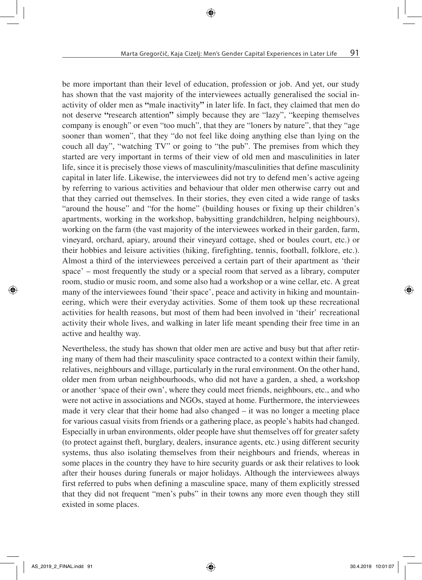be more important than their level of education, profession or job. And yet, our study has shown that the vast majority of the interviewees actually generalised the social inactivity of older men as "male inactivity" in later life. In fact, they claimed that men do not deserve "research attention" simply because they are "lazy", "keeping themselves company is enough" or even "too much", that they are "loners by nature", that they "age sooner than women", that they "do not feel like doing anything else than lying on the couch all day", "watching TV" or going to "the pub". The premises from which they started are very important in terms of their view of old men and masculinities in later life, since it is precisely those views of masculinity/masculinities that define masculinity capital in later life. Likewise, the interviewees did not try to defend men's active ageing by referring to various activities and behaviour that older men otherwise carry out and that they carried out themselves. In their stories, they even cited a wide range of tasks "around the house" and "for the home" (building houses or fixing up their children's apartments, working in the workshop, babysitting grandchildren, helping neighbours), working on the farm (the vast majority of the interviewees worked in their garden, farm, vineyard, orchard, apiary, around their vineyard cottage, shed or boules court, etc.) or their hobbies and leisure activities (hiking, firefighting, tennis, football, folklore, etc.). Almost a third of the interviewees perceived a certain part of their apartment as 'their space' – most frequently the study or a special room that served as a library, computer room, studio or music room, and some also had a workshop or a wine cellar, etc. A great many of the interviewees found 'their space', peace and activity in hiking and mountaineering, which were their everyday activities. Some of them took up these recreational activities for health reasons, but most of them had been involved in 'their' recreational activity their whole lives, and walking in later life meant spending their free time in an active and healthy way.

Nevertheless, the study has shown that older men are active and busy but that after retiring many of them had their masculinity space contracted to a context within their family, relatives, neighbours and village, particularly in the rural environment. On the other hand, older men from urban neighbourhoods, who did not have a garden, a shed, a workshop or another 'space of their own', where they could meet friends, neighbours, etc., and who were not active in associations and NGOs, stayed at home. Furthermore, the interviewees made it very clear that their home had also changed – it was no longer a meeting place for various casual visits from friends or a gathering place, as people's habits had changed. Especially in urban environments, older people have shut themselves off for greater safety (to protect against theft, burglary, dealers, insurance agents, etc.) using different security systems, thus also isolating themselves from their neighbours and friends, whereas in some places in the country they have to hire security guards or ask their relatives to look after their houses during funerals or major holidays. Although the interviewees always first referred to pubs when defining a masculine space, many of them explicitly stressed that they did not frequent "men's pubs" in their towns any more even though they still existed in some places.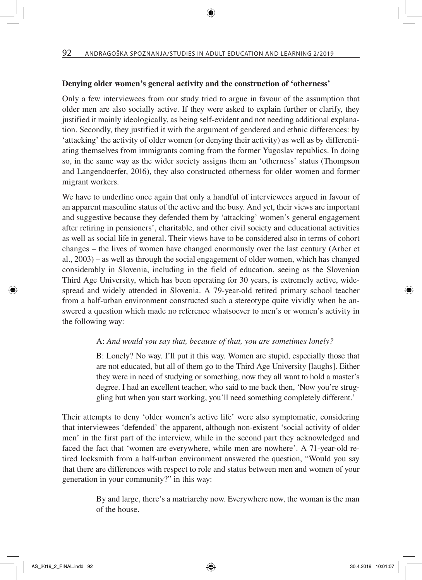#### Denying older women's general activity and the construction of 'otherness'

Only a few interviewees from our study tried to argue in favour of the assumption that older men are also socially active. If they were asked to explain further or clarify, they justified it mainly ideologically, as being self-evident and not needing additional explanation. Secondly, they justified it with the argument of gendered and ethnic differences: by 'attacking' the activity of older women (or denying their activity) as well as by differentiating themselves from immigrants coming from the former Yugoslav republics. In doing so, in the same way as the wider society assigns them an 'otherness' status (Thompson and Langendoerfer, 2016), they also constructed otherness for older women and former migrant workers.

We have to underline once again that only a handful of interviewees argued in favour of an apparent masculine status of the active and the busy. And yet, their views are important and suggestive because they defended them by 'attacking' women's general engagement after retiring in pensioners', charitable, and other civil society and educational activities as well as social life in general. Their views have to be considered also in terms of cohort changes – the lives of women have changed enormously over the last century (Arber et al., 2003) – as well as through the social engagement of older women, which has changed considerably in Slovenia, including in the field of education, seeing as the Slovenian Third Age University, which has been operating for 30 years, is extremely active, widespread and widely attended in Slovenia. A 79-year-old retired primary school teacher from a half-urban environment constructed such a stereotype quite vividly when he answered a question which made no reference whatsoever to men's or women's activity in the following way:

#### A: *And would you say that, because of that, you are sometimes lonely?*

B: Lonely? No way. I'll put it this way. Women are stupid, especially those that are not educated, but all of them go to the Third Age University [laughs]. Either they were in need of studying or something, now they all want to hold a master's degree. I had an excellent teacher, who said to me back then, 'Now you're struggling but when you start working, you'll need something completely different.'

Their attempts to deny 'older women's active life' were also symptomatic, considering that interviewees 'defended' the apparent, although non-existent 'social activity of older men' in the first part of the interview, while in the second part they acknowledged and faced the fact that 'women are everywhere, while men are nowhere'. A 71-year-old retired locksmith from a half-urban environment answered the question, "Would you say that there are differences with respect to role and status between men and women of your generation in your community?" in this way:

> By and large, there's a matriarchy now. Everywhere now, the woman is the man of the house.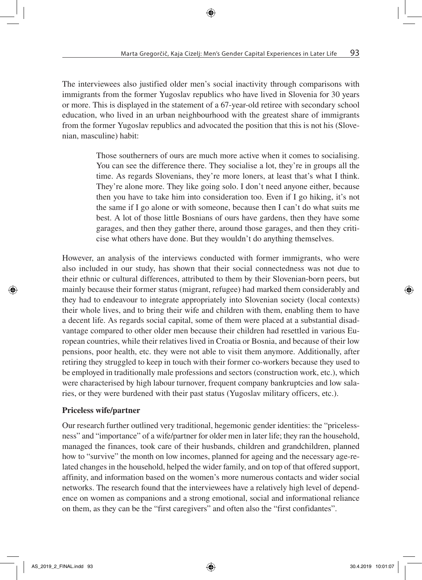The interviewees also justified older men's social inactivity through comparisons with immigrants from the former Yugoslav republics who have lived in Slovenia for 30 years or more. This is displayed in the statement of a 67-year-old retiree with secondary school education, who lived in an urban neighbourhood with the greatest share of immigrants from the former Yugoslav republics and advocated the position that this is not his (Slovenian, masculine) habit:

> Those southerners of ours are much more active when it comes to socialising. You can see the difference there. They socialise a lot, they're in groups all the time. As regards Slovenians, they're more loners, at least that's what I think. They're alone more. They like going solo. I don't need anyone either, because then you have to take him into consideration too. Even if I go hiking, it's not the same if I go alone or with someone, because then I can't do what suits me best. A lot of those little Bosnians of ours have gardens, then they have some garages, and then they gather there, around those garages, and then they criticise what others have done. But they wouldn't do anything themselves.

However, an analysis of the interviews conducted with former immigrants, who were also included in our study, has shown that their social connectedness was not due to their ethnic or cultural differences, attributed to them by their Slovenian-born peers, but mainly because their former status (migrant, refugee) had marked them considerably and they had to endeavour to integrate appropriately into Slovenian society (local contexts) their whole lives, and to bring their wife and children with them, enabling them to have a decent life. As regards social capital, some of them were placed at a substantial disadvantage compared to other older men because their children had resettled in various European countries, while their relatives lived in Croatia or Bosnia, and because of their low pensions, poor health, etc. they were not able to visit them anymore. Additionally, after retiring they struggled to keep in touch with their former co-workers because they used to be employed in traditionally male professions and sectors (construction work, etc.), which were characterised by high labour turnover, frequent company bankruptcies and low salaries, or they were burdened with their past status (Yugoslav military officers, etc.).

### Priceless wife/partner

Our research further outlined very traditional, hegemonic gender identities: the "pricelessness" and "importance" of a wife/partner for older men in later life; they ran the household, managed the finances, took care of their husbands, children and grandchildren, planned how to "survive" the month on low incomes, planned for ageing and the necessary age-related changes in the household, helped the wider family, and on top of that offered support, affinity, and information based on the women's more numerous contacts and wider social networks. The research found that the interviewees have a relatively high level of dependence on women as companions and a strong emotional, social and informational reliance on them, as they can be the "first caregivers" and often also the "first confidantes".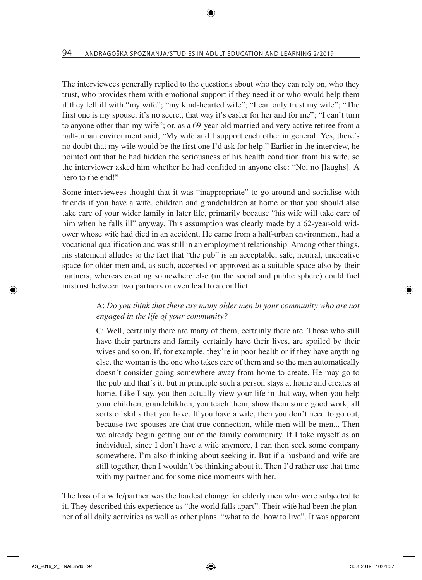The interviewees generally replied to the questions about who they can rely on, who they trust, who provides them with emotional support if they need it or who would help them if they fell ill with "my wife"; "my kind-hearted wife"; "I can only trust my wife"; "The first one is my spouse, it's no secret, that way it's easier for her and for me"; "I can't turn to anyone other than my wife"; or, as a 69-year-old married and very active retiree from a half-urban environment said, "My wife and I support each other in general. Yes, there's no doubt that my wife would be the first one I'd ask for help." Earlier in the interview, he pointed out that he had hidden the seriousness of his health condition from his wife, so the interviewer asked him whether he had confided in anyone else: "No, no [laughs]. A hero to the end!"

Some interviewees thought that it was "inappropriate" to go around and socialise with friends if you have a wife, children and grandchildren at home or that you should also take care of your wider family in later life, primarily because "his wife will take care of him when he falls ill" anyway. This assumption was clearly made by a 62-year-old widower whose wife had died in an accident. He came from a half-urban environment, had a vocational qualification and was still in an employment relationship. Among other things, his statement alludes to the fact that "the pub" is an acceptable, safe, neutral, uncreative space for older men and, as such, accepted or approved as a suitable space also by their partners, whereas creating somewhere else (in the social and public sphere) could fuel mistrust between two partners or even lead to a conflict.

#### A: *Do you think that there are many older men in your community who are not engaged in the life of your community?*

C: Well, certainly there are many of them, certainly there are. Those who still have their partners and family certainly have their lives, are spoiled by their wives and so on. If, for example, they're in poor health or if they have anything else, the woman is the one who takes care of them and so the man automatically doesn't consider going somewhere away from home to create. He may go to the pub and that's it, but in principle such a person stays at home and creates at home. Like I say, you then actually view your life in that way, when you help your children, grandchildren, you teach them, show them some good work, all sorts of skills that you have. If you have a wife, then you don't need to go out, because two spouses are that true connection, while men will be men... Then we already begin getting out of the family community. If I take myself as an individual, since I don't have a wife anymore, I can then seek some company somewhere, I'm also thinking about seeking it. But if a husband and wife are still together, then I wouldn't be thinking about it. Then I'd rather use that time with my partner and for some nice moments with her.

The loss of a wife/partner was the hardest change for elderly men who were subjected to it. They described this experience as "the world falls apart". Their wife had been the planner of all daily activities as well as other plans, "what to do, how to live". It was apparent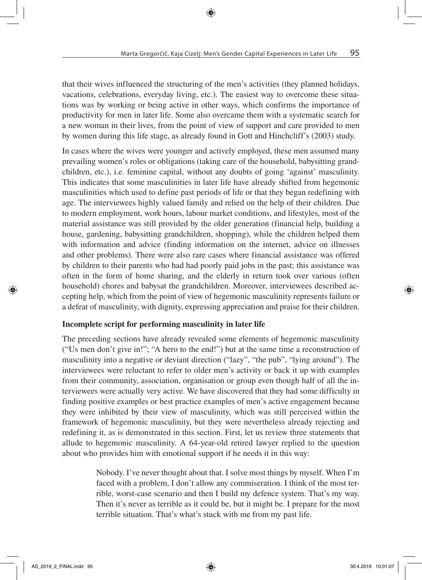that their wives influenced the structuring of the men's activities (they planned holidays, vacations, celebrations, everyday living, etc.). The easiest way to overcome these situations was by working or being active in other ways, which confirms the importance of productivity for men in later life. Some also overcame them with a systematic search for a new woman in their lives, from the point of view of support and care provided to men by women during this life stage, as already found in Gott and Hinchcliff's (2003) study.

In cases where the wives were younger and actively employed, these men assumed many prevailing women's roles or obligations (taking care of the household, babysitting grandchildren, etc.), i.e. feminine capital, without any doubts of going 'against' masculinity. This indicates that some masculinities in later life have already shifted from hegemonic masculinities which used to define past periods of life or that they began redefining with age. The interviewees highly valued family and relied on the help of their children. Due to modern employment, work hours, labour market conditions, and lifestyles, most of the material assistance was still provided by the older generation (financial help, building a house, gardening, babysitting grandchildren, shopping), while the children helped them with information and advice (finding information on the internet, advice on illnesses and other problems). There were also rare cases where financial assistance was offered by children to their parents who had had poorly paid jobs in the past; this assistance was often in the form of home sharing, and the elderly in return took over various (often household) chores and babysat the grandchildren. Moreover, interviewees described accepting help, which from the point of view of hegemonic masculinity represents failure or a defeat of masculinity, with dignity, expressing appreciation and praise for their children.

### Incomplete script for performing masculinity in later life

The preceding sections have already revealed some elements of hegemonic masculinity ("Us men don't give in!"; "A hero to the end!") but at the same time a reconstruction of masculinity into a negative or deviant direction ("lazy", "the pub", "lying around"). The interviewees were reluctant to refer to older men's activity or back it up with examples from their community, association, organisation or group even though half of all the interviewees were actually very active. We have discovered that they had some difficulty in finding positive examples or best practice examples of men's active engagement because they were inhibited by their view of masculinity, which was still perceived within the framework of hegemonic masculinity, but they were nevertheless already rejecting and redefining it, as is demonstrated in this section. First, let us review three statements that allude to hegemonic masculinity. A 64-year-old retired lawyer replied to the question about who provides him with emotional support if he needs it in this way:

> Nobody. I've never thought about that. I solve most things by myself. When I'm faced with a problem, I don't allow any commiseration. I think of the most terrible, worst-case scenario and then I build my defence system. That's my way. Then it's never as terrible as it could be, but it might be. I prepare for the most terrible situation. That's what's stuck with me from my past life.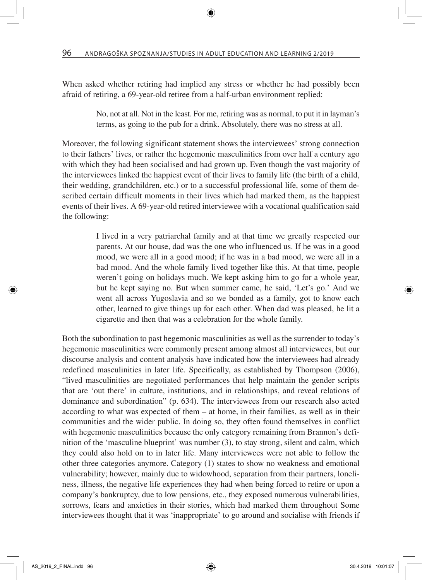When asked whether retiring had implied any stress or whether he had possibly been afraid of retiring, a 69-year-old retiree from a half-urban environment replied:

> No, not at all. Not in the least. For me, retiring was as normal, to put it in layman's terms, as going to the pub for a drink. Absolutely, there was no stress at all.

Moreover, the following significant statement shows the interviewees' strong connection to their fathers' lives, or rather the hegemonic masculinities from over half a century ago with which they had been socialised and had grown up. Even though the vast majority of the interviewees linked the happiest event of their lives to family life (the birth of a child, their wedding, grandchildren, etc.) or to a successful professional life, some of them described certain difficult moments in their lives which had marked them, as the happiest events of their lives. A 69-year-old retired interviewee with a vocational qualification said the following:

> I lived in a very patriarchal family and at that time we greatly respected our parents. At our house, dad was the one who influenced us. If he was in a good mood, we were all in a good mood; if he was in a bad mood, we were all in a bad mood. And the whole family lived together like this. At that time, people weren't going on holidays much. We kept asking him to go for a whole year, but he kept saying no. But when summer came, he said, 'Let's go.' And we went all across Yugoslavia and so we bonded as a family, got to know each other, learned to give things up for each other. When dad was pleased, he lit a cigarette and then that was a celebration for the whole family.

Both the subordination to past hegemonic masculinities as well as the surrender to today's hegemonic masculinities were commonly present among almost all interviewees, but our discourse analysis and content analysis have indicated how the interviewees had already redefined masculinities in later life. Specifically, as established by Thompson (2006), "lived masculinities are negotiated performances that help maintain the gender scripts that are 'out there' in culture, institutions, and in relationships, and reveal relations of dominance and subordination" (p. 634). The interviewees from our research also acted according to what was expected of them – at home, in their families, as well as in their communities and the wider public. In doing so, they often found themselves in conflict with hegemonic masculinities because the only category remaining from Brannon's definition of the 'masculine blueprint' was number (3), to stay strong, silent and calm, which they could also hold on to in later life. Many interviewees were not able to follow the other three categories anymore. Category (1) states to show no weakness and emotional vulnerability; however, mainly due to widowhood, separation from their partners, loneliness, illness, the negative life experiences they had when being forced to retire or upon a company's bankruptcy, due to low pensions, etc., they exposed numerous vulnerabilities, sorrows, fears and anxieties in their stories, which had marked them throughout Some interviewees thought that it was 'inappropriate' to go around and socialise with friends if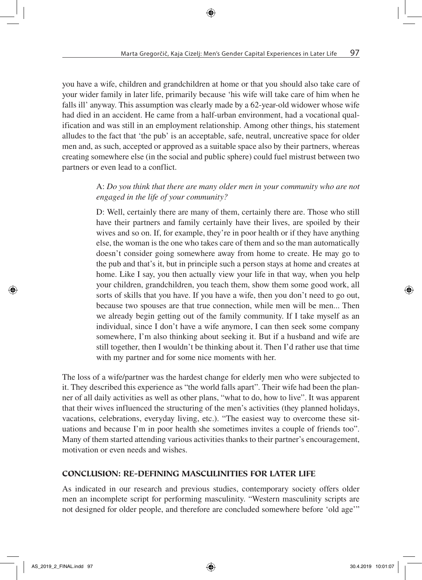you have a wife, children and grandchildren at home or that you should also take care of your wider family in later life, primarily because 'his wife will take care of him when he falls ill' anyway. This assumption was clearly made by a 62-year-old widower whose wife had died in an accident. He came from a half-urban environment, had a vocational qualification and was still in an employment relationship. Among other things, his statement alludes to the fact that 'the pub' is an acceptable, safe, neutral, uncreative space for older men and, as such, accepted or approved as a suitable space also by their partners, whereas creating somewhere else (in the social and public sphere) could fuel mistrust between two partners or even lead to a conflict.

## A: *Do you think that there are many older men in your community who are not engaged in the life of your community?*

D: Well, certainly there are many of them, certainly there are. Those who still have their partners and family certainly have their lives, are spoiled by their wives and so on. If, for example, they're in poor health or if they have anything else, the woman is the one who takes care of them and so the man automatically doesn't consider going somewhere away from home to create. He may go to the pub and that's it, but in principle such a person stays at home and creates at home. Like I say, you then actually view your life in that way, when you help your children, grandchildren, you teach them, show them some good work, all sorts of skills that you have. If you have a wife, then you don't need to go out, because two spouses are that true connection, while men will be men... Then we already begin getting out of the family community. If I take myself as an individual, since I don't have a wife anymore, I can then seek some company somewhere, I'm also thinking about seeking it. But if a husband and wife are still together, then I wouldn't be thinking about it. Then I'd rather use that time with my partner and for some nice moments with her.

The loss of a wife/partner was the hardest change for elderly men who were subjected to it. They described this experience as "the world falls apart". Their wife had been the planner of all daily activities as well as other plans, "what to do, how to live". It was apparent that their wives influenced the structuring of the men's activities (they planned holidays, vacations, celebrations, everyday living, etc.). "The easiest way to overcome these situations and because I'm in poor health she sometimes invites a couple of friends too". Many of them started attending various activities thanks to their partner's encouragement, motivation or even needs and wishes.

### CONCLUSION: RE-DEFINING MASCULINITIES FOR LATER LIFE

As indicated in our research and previous studies, contemporary society offers older men an incomplete script for performing masculinity. "Western masculinity scripts are not designed for older people, and therefore are concluded somewhere before 'old age'"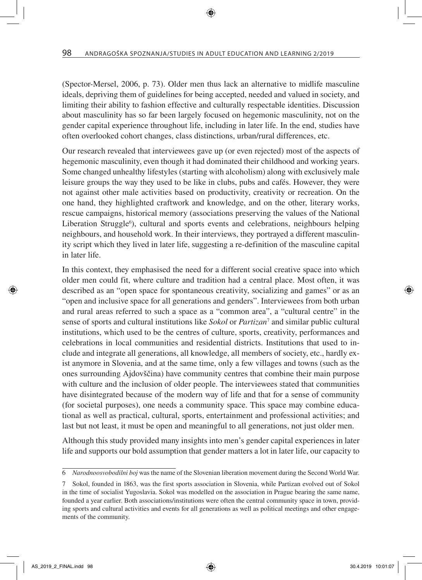(Spector-Mersel, 2006, p. 73). Older men thus lack an alternative to midlife masculine ideals, depriving them of guidelines for being accepted, needed and valued in society, and limiting their ability to fashion effective and culturally respectable identities. Discussion about masculinity has so far been largely focused on hegemonic masculinity, not on the gender capital experience throughout life, including in later life. In the end, studies have often overlooked cohort changes, class distinctions, urban/rural differences, etc.

Our research revealed that interviewees gave up (or even rejected) most of the aspects of hegemonic masculinity, even though it had dominated their childhood and working years. Some changed unhealthy lifestyles (starting with alcoholism) along with exclusively male leisure groups the way they used to be like in clubs, pubs and cafés. However, they were not against other male activities based on productivity, creativity or recreation. On the one hand, they highlighted craftwork and knowledge, and on the other, literary works, rescue campaigns, historical memory (associations preserving the values of the National Liberation Struggle<sup>6</sup>), cultural and sports events and celebrations, neighbours helping neighbours, and household work. In their interviews, they portrayed a different masculinity script which they lived in later life, suggesting a re-definition of the masculine capital in later life.

In this context, they emphasised the need for a different social creative space into which older men could fit, where culture and tradition had a central place. Most often, it was described as an "open space for spontaneous creativity, socializing and games" or as an "open and inclusive space for all generations and genders". Interviewees from both urban and rural areas referred to such a space as a "common area", a "cultural centre" in the sense of sports and cultural institutions like *Sokol* or *Partizan*<sup>7</sup> and similar public cultural institutions, which used to be the centres of culture, sports, creativity, performances and celebrations in local communities and residential districts. Institutions that used to include and integrate all generations, all knowledge, all members of society, etc., hardly exist anymore in Slovenia, and at the same time, only a few villages and towns (such as the ones surrounding Ajdovščina) have community centres that combine their main purpose with culture and the inclusion of older people. The interviewees stated that communities have disintegrated because of the modern way of life and that for a sense of community (for societal purposes), one needs a community space. This space may combine educational as well as practical, cultural, sports, entertainment and professional activities; and last but not least, it must be open and meaningful to all generations, not just older men.

Although this study provided many insights into men's gender capital experiences in later life and supports our bold assumption that gender matters a lot in later life, our capacity to

<sup>6</sup> *Narodnoosvobodilni boj* was the name of the Slovenian liberation movement during the Second World War.

<sup>7</sup> Sokol, founded in 1863, was the first sports association in Slovenia, while Partizan evolved out of Sokol in the time of socialist Yugoslavia. Sokol was modelled on the association in Prague bearing the same name, founded a year earlier. Both associations/institutions were often the central community space in town, providing sports and cultural activities and events for all generations as well as political meetings and other engagements of the community.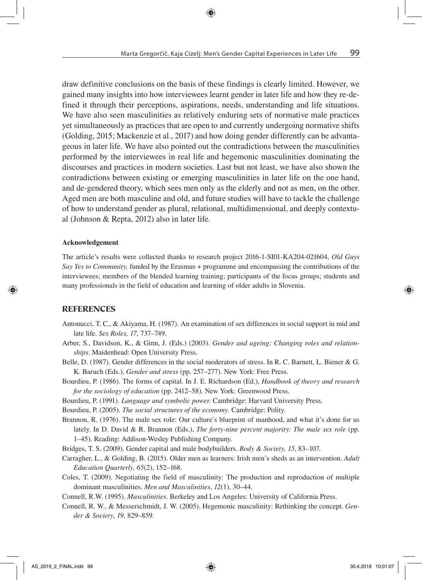draw definitive conclusions on the basis of these findings is clearly limited. However, we gained many insights into how interviewees learnt gender in later life and how they re-defined it through their perceptions, aspirations, needs, understanding and life situations. We have also seen masculinities as relatively enduring sets of normative male practices yet simultaneously as practices that are open to and currently undergoing normative shifts (Golding, 2015; Mackenzie et al., 2017) and how doing gender differently can be advantageous in later life. We have also pointed out the contradictions between the masculinities performed by the interviewees in real life and hegemonic masculinities dominating the discourses and practices in modern societies. Last but not least, we have also shown the contradictions between existing or emerging masculinities in later life on the one hand, and de-gendered theory, which sees men only as the elderly and not as men, on the other. Aged men are both masculine and old, and future studies will have to tackle the challenge of how to understand gender as plural, relational, multidimensional, and deeply contextual (Johnson & Repta, 2012) also in later life.

#### Acknowledgement

The article's results were collected thanks to research project 2016-1-SI01-KA204-021604, *Old Guys Say Yes to Community,* funded by the Erasmus + programme and encompassing the contributions of the interviewees; members of the blended learning training; participants of the focus groups; students and many professionals in the field of education and learning of older adults in Slovenia.

#### **REFERENCES**

- Antonucci, T. C., & Akiyama, H. (1987). An examination of sex differences in social support in mid and late life. *Sex Roles, 17*, 737–749.
- Arber, S., Davidson, K., & Ginn, J. (Eds.) (2003). *Gender and ageing: Changing roles and relationships*. Maidenhead: Open University Press.
- Belle, D. (1987). Gender differences in the social moderators of stress. In R. C. Barnett, L. Biener & G. K. Baruch (Eds.), *Gender and stress* (pp. 257–277). New York: Free Press.
- Bourdieu, P. (1986). The forms of capital. In J. E. Richardson (Ed.), *Handbook of theory and research for the sociology of education* (pp. 2412–58). New York: Greenwood Press.
- Bourdieu, P. (1991). *Language and symbolic power.* Cambridge: Harvard University Press.
- Bourdieu, P. (2005). *The social structures of the economy*. Cambridge: Polity.
- Brannon, R. (1976). The male sex role: Our culture's blueprint of manhood, and what it's done for us lately. In D. David & R. Brannon (Eds.), *The forty-nine percent majority: The male sex role* (pp. 1–45). Reading: Addison-Wesley Publishing Company.
- Bridges, T. S. (2009). Gender capital and male bodybuilders. *Body & Society, 15*, 83–107.
- Carragher, L., & Golding, B. (2015). Older men as learners: Irish men's sheds as an intervention. *Adult Education Quarterly, 65*(2), 152–168.
- Coles, T. (2009). Negotiating the field of masculinity: The production and reproduction of multiple dominant masculinities. *Men and Masculinities*, *12*(1), 30–44.
- Connell, R.W. (1995). *Masculinities*. Berkeley and Los Angeles: University of California Press.
- Connell, R. W., & Messerschmidt, J. W. (2005). Hegemonic masculinity: Rethinking the concept. *Gender & Society*, *19*, 829–859.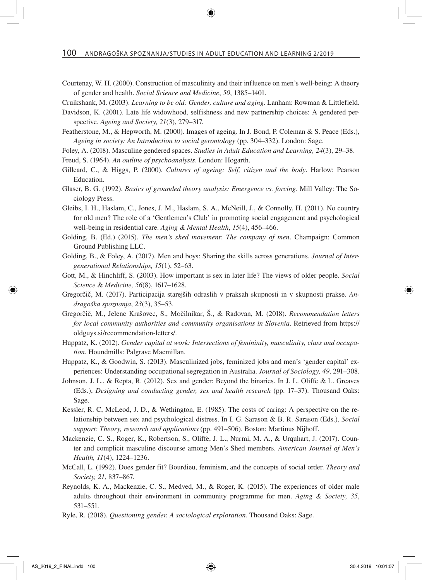Courtenay, W. H. (2000). Construction of masculinity and their influence on men's well-being: A theory of gender and health. *Social Science and Medicine*, *50*, 1385–1401.

Cruikshank, M. (2003). *Learning to be old: Gender, culture and aging*. Lanham: Rowman & Littlefield.

- Davidson, K. (2001). Late life widowhood, selfishness and new partnership choices: A gendered perspective. *Ageing and Society, 21*(3), 279–317.
- Featherstone, M., & Hepworth, M. (2000). Images of ageing. In J. Bond, P. Coleman & S. Peace (Eds.), *Ageing in society: An Introduction to social gerontology* (pp. 304–332). London: Sage.
- Foley, A. (2018). Masculine gendered spaces. *Studies in Adult Education and Learning, 24*(3), 29–38.
- Freud, S. (1964). *An outline of psychoanalysis*. London: Hogarth.
- Gilleard, C., & Higgs, P. (2000). *Cultures of ageing: Self, citizen and the body*. Harlow: Pearson Education.
- Glaser, B. G. (1992). *Basics of grounded theory analysis: Emergence vs. forcing*. Mill Valley: The Sociology Press.
- Gleibs, I. H., Haslam, C., Jones, J. M., Haslam, S. A., McNeill, J., & Connolly, H. (2011). No country for old men? The role of a 'Gentlemen's Club' in promoting social engagement and psychological well-being in residential care. *Aging & Mental Health*, *15*(4), 456–466.
- Golding, B. (Ed.) (2015). *The men's shed movement: The company of men*. Champaign: Common Ground Publishing LLC.
- Golding, B., & Foley, A. (2017). Men and boys: Sharing the skills across generations. *Journal of Intergenerational Relationships, 15*(1), 52–63.
- Gott, M., & Hinchliff, S. (2003). How important is sex in later life? The views of older people. *Social Science* & *Medicine, 56*(8), 1617–1628.
- Gregorčič, M. (2017). Participacija starejših odraslih v praksah skupnosti in v skupnosti prakse. *Andragoška spoznanja*, *23*(3), 35–53.
- Gregorčič, M., Jelenc Krašovec, S., Močilnikar, Š., & Radovan, M. (2018). *Recommendation letters for local community authorities and community organisations in Slovenia*. Retrieved from https:// oldguys.si/recommendation-letters/.
- Huppatz, K. (2012). *Gender capital at work: Intersections of femininity, masculinity, class and occupation*. Houndmills: Palgrave Macmillan.
- Huppatz, K., & Goodwin, S. (2013). Masculinized jobs, feminized jobs and men's 'gender capital' experiences: Understanding occupational segregation in Australia. *Journal of Sociology, 49*, 291–308.
- Johnson, J. L., & Repta, R. (2012). Sex and gender: Beyond the binaries. In J. L. Oliffe & L. Greaves (Eds.), *Designing and conducting gender, sex and health research* (pp. 17–37). Thousand Oaks: Sage.
- Kessler, R. C, McLeod, J. D., & Wethington, E. (1985). The costs of caring: A perspective on the relationship between sex and psychological distress. In I. G. Sarason & B. R. Sarason (Eds.), *Social support: Theory, research and applications* (pp. 491–506). Boston: Martinus Nijhoff.
- Mackenzie, C. S., Roger, K., Robertson, S., Oliffe, J. L., Nurmi, M. A., & Urquhart, J. (2017). Counter and complicit masculine discourse among Men's Shed members. *American Journal of Men's Health, 11*(4), 1224–1236.
- McCall, L. (1992). Does gender fit? Bourdieu, feminism, and the concepts of social order. *Theory and Society, 21*, 837–867.
- Reynolds, K. A., Mackenzie, C. S., Medved, M., & Roger, K. (2015). The experiences of older male adults throughout their environment in community programme for men. *Aging & Society, 35*, 531–551.
- Ryle, R. (2018). *Questioning gender. A sociological exploration*. Thousand Oaks: Sage.